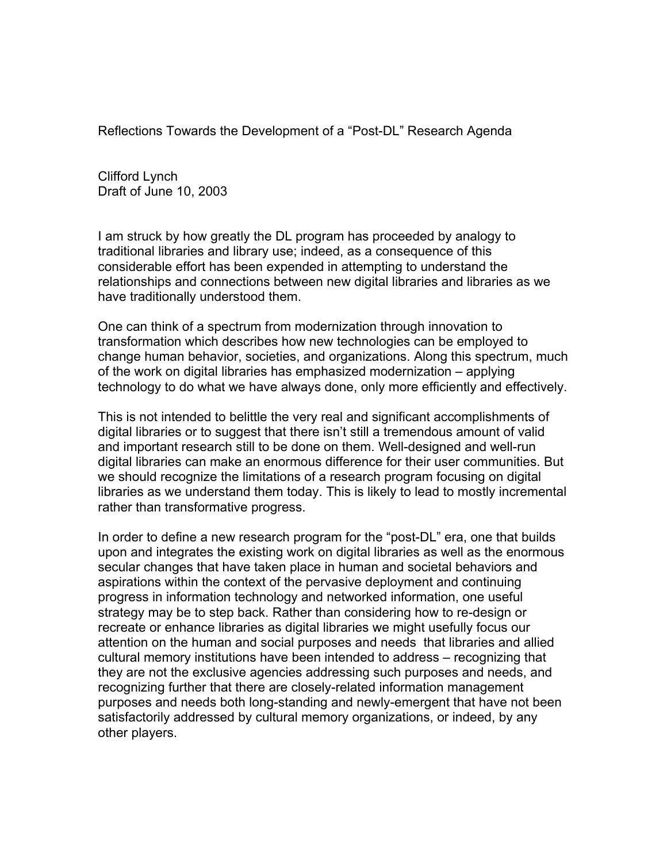Reflections Towards the Development of a "Post-DL" Research Agenda

Clifford Lynch Draft of June 10, 2003

I am struck by how greatly the DL program has proceeded by analogy to traditional libraries and library use; indeed, as a consequence of this considerable effort has been expended in attempting to understand the relationships and connections between new digital libraries and libraries as we have traditionally understood them.

One can think of a spectrum from modernization through innovation to transformation which describes how new technologies can be employed to change human behavior, societies, and organizations. Along this spectrum, much of the work on digital libraries has emphasized modernization – applying technology to do what we have always done, only more efficiently and effectively.

This is not intended to belittle the very real and significant accomplishments of digital libraries or to suggest that there isn't still a tremendous amount of valid and important research still to be done on them. Well-designed and well-run digital libraries can make an enormous difference for their user communities. But we should recognize the limitations of a research program focusing on digital libraries as we understand them today. This is likely to lead to mostly incremental rather than transformative progress.

In order to define a new research program for the "post-DL" era, one that builds upon and integrates the existing work on digital libraries as well as the enormous secular changes that have taken place in human and societal behaviors and aspirations within the context of the pervasive deployment and continuing progress in information technology and networked information, one useful strategy may be to step back. Rather than considering how to re-design or recreate or enhance libraries as digital libraries we might usefully focus our attention on the human and social purposes and needs that libraries and allied cultural memory institutions have been intended to address – recognizing that they are not the exclusive agencies addressing such purposes and needs, and recognizing further that there are closely-related information management purposes and needs both long-standing and newly-emergent that have not been satisfactorily addressed by cultural memory organizations, or indeed, by any other players.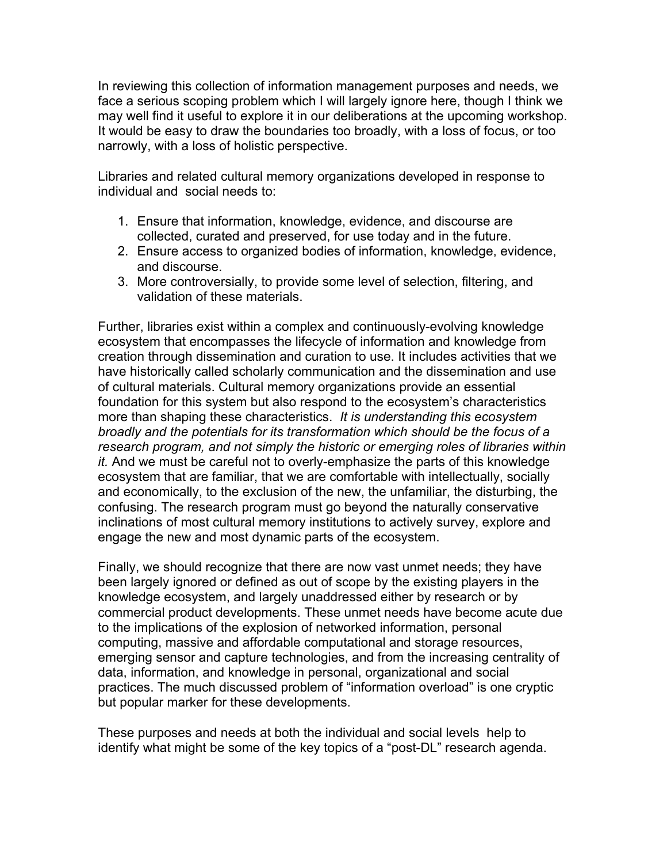In reviewing this collection of information management purposes and needs, we face a serious scoping problem which I will largely ignore here, though I think we may well find it useful to explore it in our deliberations at the upcoming workshop. It would be easy to draw the boundaries too broadly, with a loss of focus, or too narrowly, with a loss of holistic perspective.

Libraries and related cultural memory organizations developed in response to individual and social needs to:

- 1. Ensure that information, knowledge, evidence, and discourse are collected, curated and preserved, for use today and in the future.
- 2. Ensure access to organized bodies of information, knowledge, evidence, and discourse.
- 3. More controversially, to provide some level of selection, filtering, and validation of these materials.

Further, libraries exist within a complex and continuously-evolving knowledge ecosystem that encompasses the lifecycle of information and knowledge from creation through dissemination and curation to use. It includes activities that we have historically called scholarly communication and the dissemination and use of cultural materials. Cultural memory organizations provide an essential foundation for this system but also respond to the ecosystem's characteristics more than shaping these characteristics. *It is understanding this ecosystem broadly and the potentials for its transformation which should be the focus of a research program, and not simply the historic or emerging roles of libraries within it.* And we must be careful not to overly-emphasize the parts of this knowledge ecosystem that are familiar, that we are comfortable with intellectually, socially and economically, to the exclusion of the new, the unfamiliar, the disturbing, the confusing. The research program must go beyond the naturally conservative inclinations of most cultural memory institutions to actively survey, explore and engage the new and most dynamic parts of the ecosystem.

Finally, we should recognize that there are now vast unmet needs; they have been largely ignored or defined as out of scope by the existing players in the knowledge ecosystem, and largely unaddressed either by research or by commercial product developments. These unmet needs have become acute due to the implications of the explosion of networked information, personal computing, massive and affordable computational and storage resources, emerging sensor and capture technologies, and from the increasing centrality of data, information, and knowledge in personal, organizational and social practices. The much discussed problem of "information overload" is one cryptic but popular marker for these developments.

These purposes and needs at both the individual and social levels help to identify what might be some of the key topics of a "post-DL" research agenda.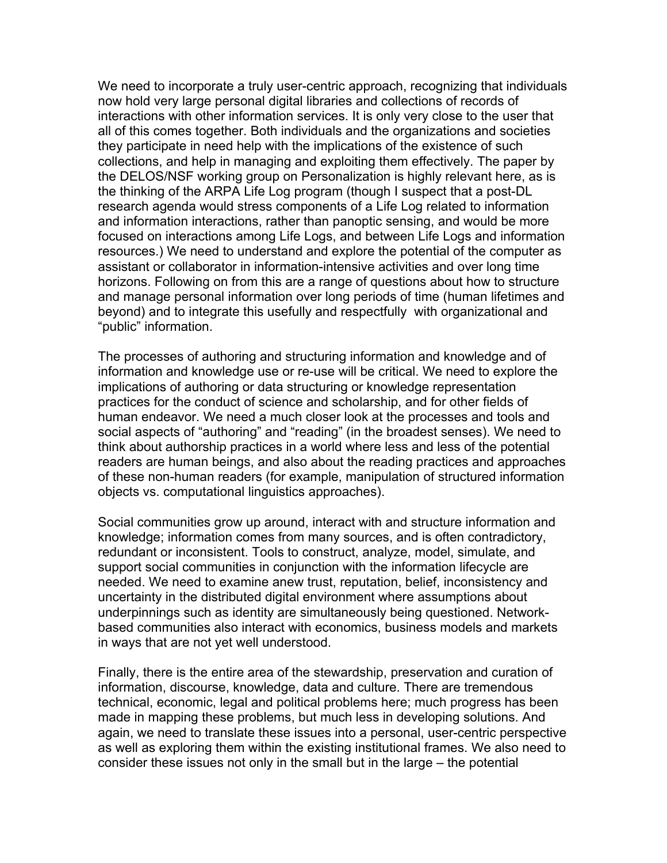We need to incorporate a truly user-centric approach, recognizing that individuals now hold very large personal digital libraries and collections of records of interactions with other information services. It is only very close to the user that all of this comes together. Both individuals and the organizations and societies they participate in need help with the implications of the existence of such collections, and help in managing and exploiting them effectively. The paper by the DELOS/NSF working group on Personalization is highly relevant here, as is the thinking of the ARPA Life Log program (though I suspect that a post-DL research agenda would stress components of a Life Log related to information and information interactions, rather than panoptic sensing, and would be more focused on interactions among Life Logs, and between Life Logs and information resources.) We need to understand and explore the potential of the computer as assistant or collaborator in information-intensive activities and over long time horizons. Following on from this are a range of questions about how to structure and manage personal information over long periods of time (human lifetimes and beyond) and to integrate this usefully and respectfully with organizational and "public" information.

The processes of authoring and structuring information and knowledge and of information and knowledge use or re-use will be critical. We need to explore the implications of authoring or data structuring or knowledge representation practices for the conduct of science and scholarship, and for other fields of human endeavor. We need a much closer look at the processes and tools and social aspects of "authoring" and "reading" (in the broadest senses). We need to think about authorship practices in a world where less and less of the potential readers are human beings, and also about the reading practices and approaches of these non-human readers (for example, manipulation of structured information objects vs. computational linguistics approaches).

Social communities grow up around, interact with and structure information and knowledge; information comes from many sources, and is often contradictory, redundant or inconsistent. Tools to construct, analyze, model, simulate, and support social communities in conjunction with the information lifecycle are needed. We need to examine anew trust, reputation, belief, inconsistency and uncertainty in the distributed digital environment where assumptions about underpinnings such as identity are simultaneously being questioned. Networkbased communities also interact with economics, business models and markets in ways that are not yet well understood.

Finally, there is the entire area of the stewardship, preservation and curation of information, discourse, knowledge, data and culture. There are tremendous technical, economic, legal and political problems here; much progress has been made in mapping these problems, but much less in developing solutions. And again, we need to translate these issues into a personal, user-centric perspective as well as exploring them within the existing institutional frames. We also need to consider these issues not only in the small but in the large – the potential